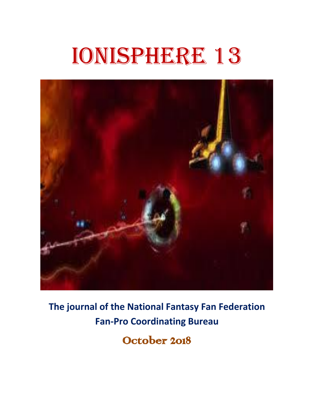# Ionisphere 13



**The journal of the National Fantasy Fan Federation Fan-Pro Coordinating Bureau**

October 2018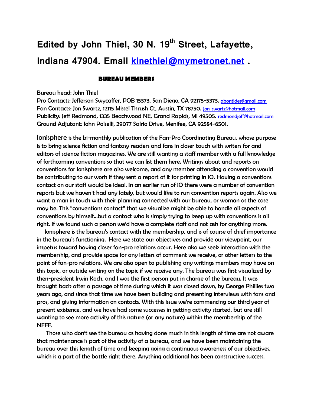# **Edited by John Thiel, 30 N. 19th Street, Lafayette, Indiana 47904. Email [kinethiel@mymetronet.net](mailto:kinethiel@mymetronet.net) .**

## **BUREAU MEMBERS**

## Bureau head: John Thiel

Pro Contacts: Jefferson Swycaffer, POB 15373, San Diego, CA 92175-5373. [abontides@gmail.com](mailto:abontides@gmail.com) Fan Contacts: Jon Swartz, 12115 Missel Thrush Ct, Austin, TX 78750. Jon swartz@hotmail.com Publicity: Jeff Redmond, 1335 Beachwood NE, Grand Rapids, MI 49505. [redmondjeff@hotmail.com](mailto:redmondjeff@hotmail.com) Ground Adjutant: John Polselli, 29077 Salrio Drive, Menifee, CA 92584-6501.

Ionisphere is the bi-monthly publication of the Fan-Pro Coordinating Bureau, whose purpose is to bring science fiction and fantasy readers and fans in closer touch with writers for and editors of science fiction magazines. We are still wanting a staff member with a full knowledge of forthcoming conventions so that we can list them here. Writings about and reports on conventions for Ionisphere are also welcome, and any member attending a convention would be contributing to our work if they sent a report of it for printing in IO. Having a conventions contact on our staff would be ideal. In an earlier run of IO there were a number of convention reports but we haven't had any lately, but would like to run convention reports again. Also we want a man in touch with their planning connected with our bureau, or woman as the case may be. This "conventions contact" that we visualize might be able to handle all aspects of conventions by himself…but a contact who is simply trying to keep up with conventions is all right. If we found such a person we'd have a complete staff and not ask for anything more.

 Ionisphere is the bureau's contact with the membership, and is of course of chief importance in the bureau's functioning. Here we state our objectives and provide our viewpoint, our impetus toward having closer fan-pro relations occur. Here also we seek interaction with the membership, and provide space for any letters of comment we receive, or other letters to the point of fan-pro relations. We are also open to publishing any writings members may have on this topic, or outside writing on the topic if we receive any. The bureau was first visualized by then-president Irwin Koch, and I was the first person put in charge of the bureau. It was brought back after a passage of time during which it was closed down, by George Phillies two years ago, and since that time we have been building and presenting interviews with fans and pros, and giving information on contacts. With this issue we're commencing our third year of present existence, and we have had some successes in getting activity started, but are still wanting to see more activity of this nature (or any nature) within the membership of the NFFF.

 Those who don't see the bureau as having done much in this length of time are not aware that maintenance is part of the activity of a bureau, and we have been maintaining the bureau over this length of time and keeping going a continuous awareness of our objectives, which is a part of the battle right there. Anything additional has been constructive success.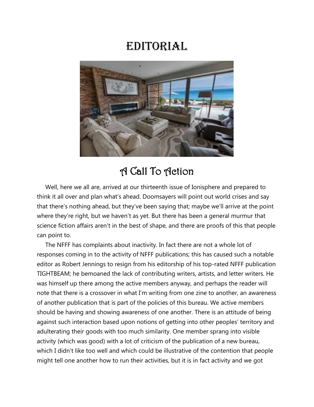# **EDITORIAL**



# A Call To Action

 Well, here we all are, arrived at our thirteenth issue of Ionisphere and prepared to think it all over and plan what's ahead. Doomsayers will point out world crises and say that there's nothing ahead, but they've been saying that; maybe we'll arrive at the point where they're right, but we haven't as yet. But there has been a general murmur that science fiction affairs aren't in the best of shape, and there are proofs of this that people can point to.

 The NFFF has complaints about inactivity. In fact there are not a whole lot of responses coming in to the activity of NFFF publications; this has caused such a notable editor as Robert Jennings to resign from his editorship of his top-rated NFFF publication TIGHTBEAM; he bemoaned the lack of contributing writers, artists, and letter writers. He was himself up there among the active members anyway, and perhaps the reader will note that there is a crossover in what I'm writing from one zine to another, an awareness of another publication that is part of the policies of this bureau. We active members should be having and showing awareness of one another. There is an attitude of being against such interaction based upon notions of getting into other peoples' territory and adulterating their goods with too much similarity. One member sprang into visible activity (which was good) with a lot of criticism of the publication of a new bureau, which I didn't like too well and which could be illustrative of the contention that people might tell one another how to run their activities, but it is in fact activity and we got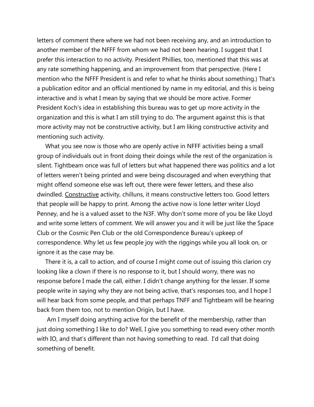letters of comment there where we had not been receiving any, and an introduction to another member of the NFFF from whom we had not been hearing. I suggest that I prefer this interaction to no activity. President Phillies, too, mentioned that this was at any rate something happening, and an improvement from that perspective. (Here I mention who the NFFF President is and refer to what he thinks about something.) That's a publication editor and an official mentioned by name in my editorial, and this is being interactive and is what I mean by saying that we should be more active. Former President Koch's idea in establishing this bureau was to get up more activity in the organization and this is what I am still trying to do. The argument against this is that more activity may not be constructive activity, but I am liking constructive activity and mentioning such activity.

What you see now is those who are openly active in NFFF activities being a small group of individuals out in front doing their doings while the rest of the organization is silent. Tightbeam once was full of letters but what happened there was politics and a lot of letters weren't being printed and were being discouraged and when everything that might offend someone else was left out, there were fewer letters, and these also dwindled. Constructive activity, chilluns, it means constructive letters too. Good letters that people will be happy to print. Among the active now is lone letter writer Lloyd Penney, and he is a valued asset to the N3F. Why don't some more of you be like Lloyd and write some letters of comment. We will answer you and it will be just like the Space Club or the Cosmic Pen Club or the old Correspondence Bureau's upkeep of correspondence. Why let us few people joy with the riggings while you all look on, or ignore it as the case may be.

 There it is, a call to action, and of course I might come out of issuing this clarion cry looking like a clown if there is no response to it, but I should worry, there was no response before I made the call, either. I didn't change anything for the lesser. If some people write in saying why they are not being active, that's responses too, and I hope I will hear back from some people, and that perhaps TNFF and Tightbeam will be hearing back from them too, not to mention Origin, but I have.

 Am I myself doing anything active for the benefit of the membership, rather than just doing something I like to do? Well, I give you something to read every other month with IO, and that's different than not having something to read. I'd call that doing something of benefit.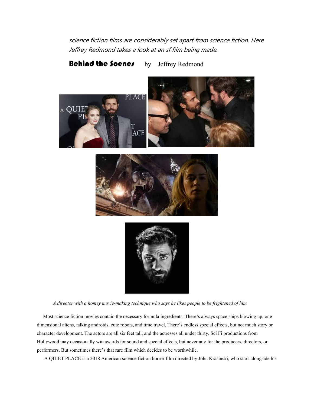science fiction films are considerably set apart from science fiction. Here Jeffrey Redmond takes a look at an sf film being made.

Behind the Scenes by Jeffrey Redmond







*A director with a homey movie-making technique who says he likes people to be frightened of him*

 Most science fiction movies contain the necessary formula ingredients. There's always space ships blowing up, one dimensional aliens, talking androids, cute robots, and time travel. There's endless special effects, but not much story or character development. The actors are all six feet tall, and the actresses all under thirty. Sci Fi productions from Hollywood may occasionally win awards for sound and special effects, but never any for the producers, directors, or performers. But sometimes there's that rare film which decides to be worthwhile.

A QUIET PLACE is a 2018 American science fiction horror film directed by John Krasinski, who stars alongside his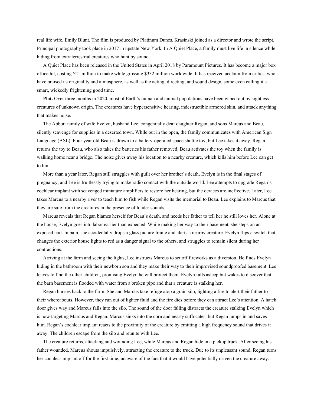real life wife, Emily Blunt. The film is produced by Platinum Dunes. Krasinski joined as a director and wrote the script. Principal photography took place in 2017 in upstate New York. In A Quiet Place, a family must live life in silence while hiding from extraterrestrial creatures who hunt by sound.

 A Quiet Place has been released in the United States in April 2018 by Paramount Pictures. It has become a major box office hit, costing \$21 million to make while grossing \$332 million worldwide. It has received acclaim from critics, who have praised its originality and atmosphere, as well as the acting, directing, and sound design, some even calling it a smart, wickedly frightening good time.

**Plot.** Over three months in 2020, most of Earth's human and animal populations have been wiped out by sightless creatures of unknown origin. The creatures have hypersensitive hearing, indestructible armored skin, and attack anything that makes noise.

 The Abbott family of wife Evelyn, husband Lee, congenitally deaf daughter Regan, and sons Marcus and Beau, silently scavenge for supplies in a deserted town. While out in the open, the family communicates with American Sign Language (ASL). Four year old Beau is drawn to a battery-operated space shuttle toy, but Lee takes it away. Regan returns the toy to Beau, who also takes the batteries his father removed. Beau activates the toy when the family is walking home near a bridge. The noise gives away his location to a nearby creature, which kills him before Lee can get to him.

 More than a year later, Regan still struggles with guilt over her brother's death, Evelyn is in the final stages of pregnancy, and Lee is fruitlessly trying to make radio contact with the outside world. Lee attempts to upgrade Regan's cochlear implant with scavenged miniature amplifiers to restore her hearing, but the devices are ineffective. Later, Lee takes Marcus to a nearby river to teach him to fish while Regan visits the memorial to Beau. Lee explains to Marcus that they are safe from the creatures in the presence of louder sounds.

 Marcus reveals that Regan blames herself for Beau's death, and needs her father to tell her he still loves her. Alone at the house, Evelyn goes into labor earlier than expected. While making her way to their basement, she steps on an exposed nail. In pain, she accidentally drops a glass picture frame and alerts a nearby creature. Evelyn flips a switch that changes the exterior house lights to red as a danger signal to the others, and struggles to remain silent during her contractions.

 Arriving at the farm and seeing the lights, Lee instructs Marcus to set off fireworks as a diversion. He finds Evelyn hiding in the bathroom with their newborn son and they make their way to their improvised soundproofed basement. Lee leaves to find the other children, promising Evelyn he will protect them. Evelyn falls asleep but wakes to discover that the barn basement is flooded with water from a broken pipe and that a creature is stalking her.

 Regan hurries back to the farm. She and Marcus take refuge atop a grain silo, lighting a fire to alert their father to their whereabouts. However, they run out of lighter fluid and the fire dies before they can attract Lee's attention. A hatch door gives way and Marcus falls into the silo. The sound of the door falling distracts the creature stalking Evelyn which is now targeting Marcus and Regan. Marcus sinks into the corn and nearly suffocates, but Regan jumps in and saves him. Regan's cochlear implant reacts to the proximity of the creature by emitting a high frequency sound that drives it away. The children escape from the silo and reunite with Lee.

 The creature returns, attacking and wounding Lee, while Marcus and Regan hide in a pickup truck. After seeing his father wounded, Marcus shouts impulsively, attracting the creature to the truck. Due to its unpleasant sound, Regan turns her cochlear implant off for the first time, unaware of the fact that it would have potentially driven the creature away.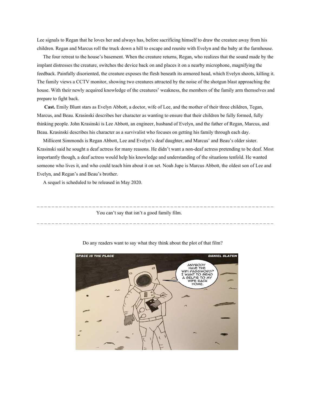Lee signals to Regan that he loves her and always has, before sacrificing himself to draw the creature away from his children. Regan and Marcus roll the truck down a hill to escape and reunite with Evelyn and the baby at the farmhouse.

 The four retreat to the house's basement. When the creature returns, Regan, who realizes that the sound made by the implant distresses the creature, switches the device back on and places it on a nearby microphone, magnifying the feedback. Painfully disoriented, the creature exposes the flesh beneath its armored head, which Evelyn shoots, killing it. The family views a CCTV monitor, showing two creatures attracted by the noise of the shotgun blast approaching the house. With their newly acquired knowledge of the creatures' weakness, the members of the family arm themselves and prepare to fight back.

 **Cast.** Emily Blunt stars as Evelyn Abbott, a doctor, wife of Lee, and the mother of their three children, Tegan, Marcus, and Beau. Krasinski describes her character as wanting to ensure that their children be fully formed, fully thinking people. John Krasinski is Lee Abbott, an engineer, husband of Evelyn, and the father of Regan, Marcus, and Beau. Krasinski describes his character as a survivalist who focuses on getting his family through each day.

 Millicent Simmonds is Regan Abbott, Lee and Evelyn's deaf daughter, and Marcus' and Beau's older sister. Krasinski said he sought a deaf actress for many reasons. He didn't want a non-deaf actress pretending to be deaf. Most importantly though, a deaf actress would help his knowledge and understanding of the situations tenfold. He wanted someone who lives it, and who could teach him about it on set. Noah Jupe is Marcus Abbott, the oldest son of Lee and Evelyn, and Regan's and Beau's brother.

\_ \_ \_ \_ \_ \_ \_ \_ \_ \_ \_ \_ \_ \_ \_ \_ \_ \_ \_ \_ \_ \_ \_ \_ \_ \_ \_ \_ \_ \_ \_ \_ \_ \_ \_ \_ \_ \_ \_ \_ \_ \_ \_ \_ \_ \_ \_ \_ \_ \_ \_ \_ \_ \_ \_ \_ \_ \_ \_ \_ \_ \_ \_ \_

\_ \_ \_ \_ \_ \_ \_ \_ \_ \_ \_ \_ \_ \_ \_ \_ \_ \_ \_ \_ \_ \_ \_ \_ \_ \_ \_ \_ \_ \_ \_ \_ \_ \_ \_ \_ \_ \_ \_ \_ \_ \_ \_ \_ \_ \_ \_ \_ \_ \_ \_ \_ \_ \_ \_ \_ \_ \_ \_ \_ \_ \_ \_ \_

A sequel is scheduled to be released in May 2020.

You can't say that isn't a good family film.



Do any readers want to say what they think about the plot of that film?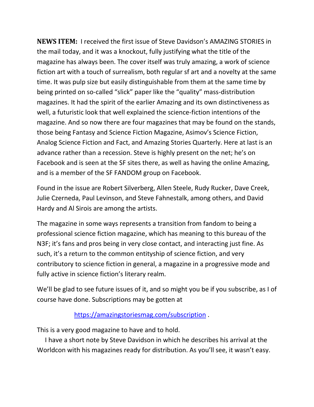**NEWS ITEM:** I received the first issue of Steve Davidson's AMAZING STORIES in the mail today, and it was a knockout, fully justifying what the title of the magazine has always been. The cover itself was truly amazing, a work of science fiction art with a touch of surrealism, both regular sf art and a novelty at the same time. It was pulp size but easily distinguishable from them at the same time by being printed on so-called "slick" paper like the "quality" mass-distribution magazines. It had the spirit of the earlier Amazing and its own distinctiveness as well, a futuristic look that well explained the science-fiction intentions of the magazine. And so now there are four magazines that may be found on the stands, those being Fantasy and Science Fiction Magazine, Asimov's Science Fiction, Analog Science Fiction and Fact, and Amazing Stories Quarterly. Here at last is an advance rather than a recession. Steve is highly present on the net; he's on Facebook and is seen at the SF sites there, as well as having the online Amazing, and is a member of the SF FANDOM group on Facebook.

Found in the issue are Robert Silverberg, Allen Steele, Rudy Rucker, Dave Creek, Julie Czerneda, Paul Levinson, and Steve Fahnestalk, among others, and David Hardy and Al Sirois are among the artists.

The magazine in some ways represents a transition from fandom to being a professional science fiction magazine, which has meaning to this bureau of the N3F; it's fans and pros being in very close contact, and interacting just fine. As such, it's a return to the common entityship of science fiction, and very contributory to science fiction in general, a magazine in a progressive mode and fully active in science fiction's literary realm.

We'll be glad to see future issues of it, and so might you be if you subscribe, as I of course have done. Subscriptions may be gotten at

# <https://amazingstoriesmag.com/subscription>.

This is a very good magazine to have and to hold.

 I have a short note by Steve Davidson in which he describes his arrival at the Worldcon with his magazines ready for distribution. As you'll see, it wasn't easy.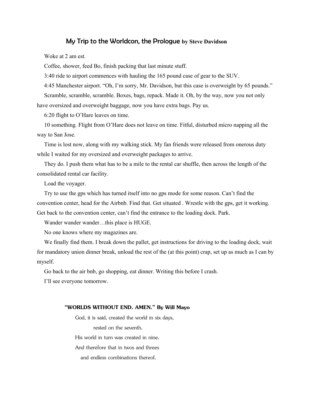## My Trip to the Worldcon, the Prologue **by Steve Davidson**

Woke at 2 am est.

Coffee, shower, feed Bo, finish packing that last minute stuff.

3:40 ride to airport commences with hauling the 165 pound case of gear to the SUV.

 4:45 Manchester airport. "Oh, I'm sorry, Mr. Davidson, but this case is overweight by 65 pounds." Scramble, scramble, scramble. Boxes, bags, repack. Made it. Oh, by the way, now you not only have oversized and overweight baggage, now you have extra bags. Pay us.

6:20 flight to O'Hare leaves on time.

 10 something. Flight from O'Hare does not leave on time. Fitful, disturbed micro napping all the way to San Jose.

 Time is lost now, along with my walking stick. My fan friends were released from onerous duty while I waited for my oversized and overweight packages to arrive.

 They do. I push them what has to be a mile to the rental car shuffle, then across the length of the consolidated rental car facility.

Load the voyager.

 Try to use the gps which has turned itself into no gps mode for some reason. Can't find the convention center, head for the Airbnb. Find that. Get situated . Wrestle with the gps, get it working. Get back to the convention center, can't find the entrance to the loading dock. Park.

Wander wander wander...this place is HUGE.

No one knows where my magazines are.

 We finally find them. I break down the pallet, get instructions for driving to the loading dock, wait for mandatory union dinner break, unload the rest of the (at this point) crap, set up as much as I can by myself.

Go back to the air bnb, go shopping, eat dinner. Writing this before I crash.

I'll see everyone tomorrow.

#### **"WORLDS WITHOUT END. AMEN." By Will Mayo**

 God, it is said, created the world in six days, rested on the seventh. His world in turn was created in nine. And therefore that in twos and threes and endless combinations thereof.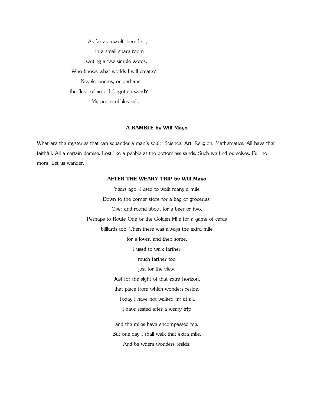As far as myself, here I sit, in a small spare room writing a few simple words. Who knows what worlds I will create? Novels, poems, or perhaps the flesh of an old forgotten word? My pen scribbles still.

### **A RAMBLE by Will Mayo**

What are the mysteries that can squander a man's soul? Science, Art, Religion, Mathematics. All have their faithful. All a certain demise. Lost like a pebble at the bottomless sands. Such we find ourselves. Full no more. Let us wander.

## **AFTER THE WEARY TRIP by Will Mayo**

Years ago, I used to walk many a mile Down to the corner store for a bag of groceries. Over and round about for a beer or two. Perhaps to Route One or the Golden Mile for a game of cards billiards too. Then there was always the extra mile for a lover, and then some. I used to walk farther much farther too just for the view. Just for the sight of that extra horizon, that place from which wonders reside. Today I have not walked far at all. I have rested after a weary trip and the miles have encompassed me. But one day I shall walk that extra mile. And be where wonders reside.